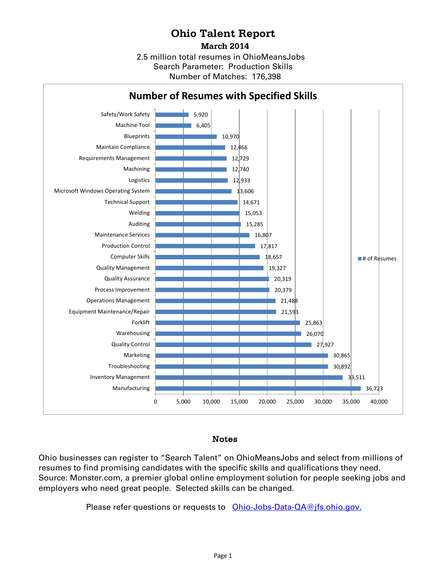## **Ohio Talent Report**

**March 2014**

2.5 million total resumes in OhioMeansJobs Number of Matches: 176,398 Search Parameter: Production Skills



## Notes

Ohio businesses can register to "Search Talent" on OhioMeansJobs and select from millions of resumes to find promising candidates with the specific skills and qualifications they need. Source: Monster.com, a premier global online employment solution for people seeking jobs and employers who need great people. Selected skills can be changed.

Please refer questions or requests to [Ohio-Jobs-Data-QA@jfs.ohio.gov.](mailto:Ohio-Jobs-Data-QA@jfs.ohio.gov)